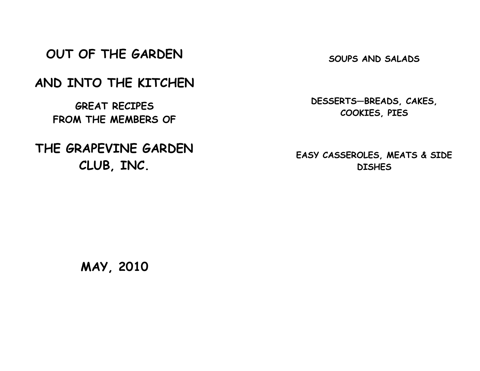OUT OF THE GARDEN

AND INTO THE KITCHEN

GREAT RECIPES FROM THE MEMBERS OF

THE GRAPEVINE GARDEN CLUB, INC.

SOUPS AND SALADS

DESSERTS—BREADS, CAKES, COOKIES, PIES

EASY CASSEROLES, MEATS & SIDE **DISHES** 

MAY, 2010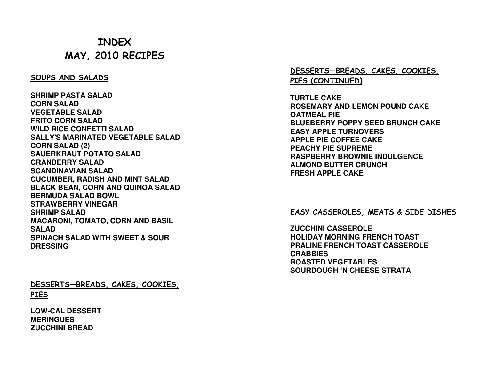# INDEX MAY, 2010 RECIPES

#### SOUPS AND SALADS

**SHRIMP PASTA SALAD CORN SALAD VEGETABLE SALAD FRITO CORN SALAD WILD RICE CONFETTI SALAD SALLY'S MARINATED VEGETABLE SALAD CORN SALAD (2) SAUERKRAUT POTATO SALADCRANBERRY SALAD SCANDINAVIAN SALAD CUCUMBER, RADISH AND MINT SALAD BLACK BEAN, CORN AND QUINOA SALAD BERMUDA SALAD BOWL STRAWBERRY VINEGAR SHRIMP SALAD MACARONI, TOMATO, CORN AND BASIL SALAD SPINACH SALAD WITH SWEET & SOUR DRESSING** 

DESSERTS—BREADS, CAKES, COOKIES, **PIES** 

**LOW-CAL DESSERT MERINGUES ZUCCHINI BREAD** 

DESSERTS—BREADS, CAKES, COOKIES, PIES (CONTINUED)

**TURTLE CAKE ROSEMARY AND LEMON POUND CAKE OATMEAL PIE BLUEBERRY POPPY SEED BRUNCH CAKE EASY APPLE TURNOVERS APPLE PIE COFFEE CAKE PEACHY PIE SUPREME RASPBERRY BROWNIE INDULGENCE ALMOND BUTTER CRUNCH FRESH APPLE CAKE** 

#### EASY CASSEROLES, MEATS & SIDE DISHES

**ZUCCHINI CASSEROLE HOLIDAY MORNING FRENCH TOAST PRALINE FRENCH TOAST CASSEROLE CRABBIES ROASTED VEGETABLES SOURDOUGH 'N CHEESE STRATA**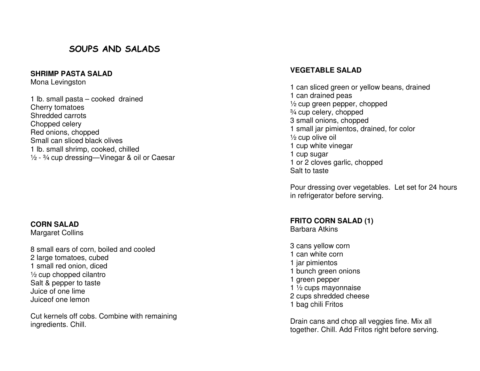## SOUPS AND SALADS

#### **SHRIMP PASTA SALAD**

Mona Levingston

1 lb. small pasta – cooked drained Cherry tomatoes Shredded carrots Chopped celery Red onions, chopped Small can sliced black olives 1 lb. small shrimp, cooked, chilled  $\frac{1}{2}$  -  $\frac{3}{4}$  cup dressing—Vinegar & oil or Caesar

#### **CORN SALAD**

Margaret Collins

8 small ears of corn, boiled and cooled 2 large tomatoes, cubed 1 small red onion, diced ½ cup chopped cilantro Salt & pepper to taste Juice of one lime Juiceof one lemon

Cut kernels off cobs. Combine with remaining ingredients. Chill.

#### **VEGETABLE SALAD**

1 can sliced green or yellow beans, drained 1 can drained peas ½ cup green pepper, chopped ¾ cup celery, chopped 3 small onions, chopped 1 small jar pimientos, drained, for color ½ cup olive oil 1 cup white vinegar 1 cup sugar 1 or 2 cloves garlic, chopped Salt to taste

Pour dressing over vegetables. Let set for 24 hours in refrigerator before serving.

## **FRITO CORN SALAD (1)**

Barbara Atkins

3 cans yellow corn 1 can white corn 1 jar pimientos 1 bunch green onions 1 green pepper 1 ½ cups mayonnaise 2 cups shredded cheese 1 bag chili Fritos

Drain cans and chop all veggies fine. Mix all together. Chill. Add Fritos right before serving.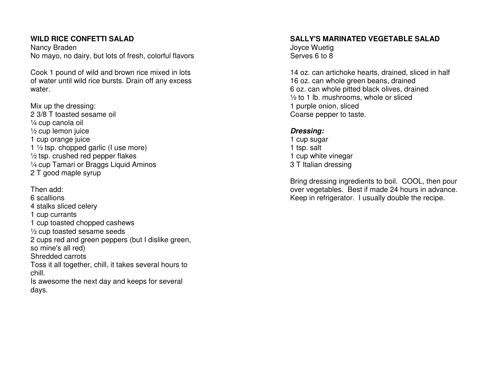### **WILD RICE CONFETTI SALAD**

Nancy Braden No mayo, no dairy, but lots of fresh, colorful flavors

Cook 1 pound of wild and brown rice mixed in lots of water until wild rice bursts. Drain off any excess water.

Mix up the dressing: 2 3/8 T toasted sesame oil ¼ cup canola oil ½ cup lemon juice 1 cup orange juice 1  $\frac{1}{2}$  tsp. chopped garlic (I use more)  $\frac{1}{2}$  tsp. crushed red pepper flakes ¼ cup Tamari or Braggs Liquid Aminos 2 T good maple syrup

Then add: 6 scallions 4 stalks sliced celery 1 cup currants 1 cup toasted chopped cashews ½ cup toasted sesame seeds 2 cups red and green peppers (but I dislike green, so mine's all red) Shredded carrots Toss it all together, chill, it takes several hours to chill. Is awesome the next day and keeps for several days.

#### **SALLY'S MARINATED VEGETABLE SALAD** Joyce Wuetig

Serves 6 to 8

14 oz. can artichoke hearts, drained, sliced in half 16 oz. can whole green beans, drained 6 oz. can whole pitted black olives, drained  $\frac{1}{2}$  to 1 lb. mushrooms, whole or sliced 1 purple onion, sliced Coarse pepper to taste.

#### **Dressing:**

 1 cup sugar 1 tsp. salt 1 cup white vinegar 3 T Italian dressing

Bring dressing ingredients to boil. COOL, then pour over vegetables. Best if made 24 hours in advance.Keep in refrigerator. I usually double the recipe.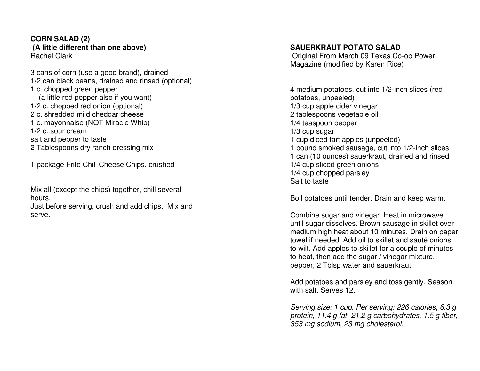#### **CORN SALAD (2) (A little different than one above)**Rachel Clark

3 cans of corn (use a good brand), drained 1/2 can black beans, drained and rinsed (optional) 1 c. chopped green pepper (a little red pepper also if you want) 1/2 c. chopped red onion (optional) 2 c. shredded mild cheddar cheese 1 c. mayonnaise (NOT Miracle Whip) 1/2 c. sour cream salt and pepper to taste 2 Tablespoons dry ranch dressing mix

1 package Frito Chili Cheese Chips, crushed

Mix all (except the chips) together, chill several hours.

 Just before serving, crush and add chips. Mix and serve.

#### **SAUERKRAUT POTATO SALAD**

 Original From March 09 Texas Co-op Power Magazine (modified by Karen Rice)

4 medium potatoes, cut into 1/2-inch slices (red potatoes, unpeeled) 1/3 cup apple cider vinegar 2 tablespoons vegetable oil 1/4 teaspoon pepper 1/3 cup sugar 1 cup diced tart apples (unpeeled) 1 pound smoked sausage, cut into 1/2-inch slices 1 can (10 ounces) sauerkraut, drained and rinsed 1/4 cup sliced green onions 1/4 cup chopped parsley Salt to taste

Boil potatoes until tender. Drain and keep warm.

Combine sugar and vinegar. Heat in microwave until sugar dissolves. Brown sausage in skillet over medium high heat about 10 minutes. Drain on paper towel if needed. Add oil to skillet and sauté onions to wilt. Add apples to skillet for a couple of minutes to heat, then add the sugar / vinegar mixture, pepper, 2 Tblsp water and sauerkraut.

Add potatoes and parsley and toss gently. Season with salt. Serves 12.

Serving size: 1 cup. Per serving: 226 calories, 6.3 g protein, 11.4 g fat, 21.2 g carbohydrates, 1.5 g fiber, 353 mg sodium, 23 mg cholesterol.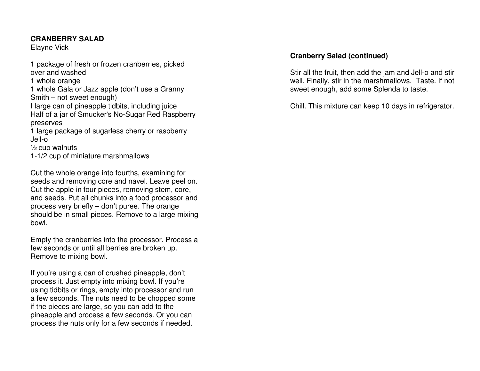#### **CRANBERRY SALAD**

Elayne Vick

1 package of fresh or frozen cranberries, picked over and washed 1 whole orange 1 whole Gala or Jazz apple (don't use a Granny Smith – not sweet enough) I large can of pineapple tidbits, including juice Half of a jar of Smucker's No-Sugar Red Raspberry preserves 1 large package of sugarless cherry or raspberry Jell-o ½ cup walnuts 1-1/2 cup of miniature marshmallows

Cut the whole orange into fourths, examining for seeds and removing core and navel. Leave peel on. Cut the apple in four pieces, removing stem, core, and seeds. Put all chunks into a food processor andprocess very briefly – don't puree. The orange should be in small pieces. Remove to a large mixingbowl.

Empty the cranberries into the processor. Process afew seconds or until all berries are broken up. Remove to mixing bowl.

If you're using a can of crushed pineapple, don't process it. Just empty into mixing bowl. If you're using tidbits or rings, empty into processor and run a few seconds. The nuts need to be chopped some if the pieces are large, so you can add to the pineapple and process a few seconds. Or you can process the nuts only for a few seconds if needed.

### **Cranberry Salad (continued)**

Stir all the fruit, then add the jam and Jell-o and stir well. Finally, stir in the marshmallows. Taste. If not sweet enough, add some Splenda to taste.

Chill. This mixture can keep 10 days in refrigerator.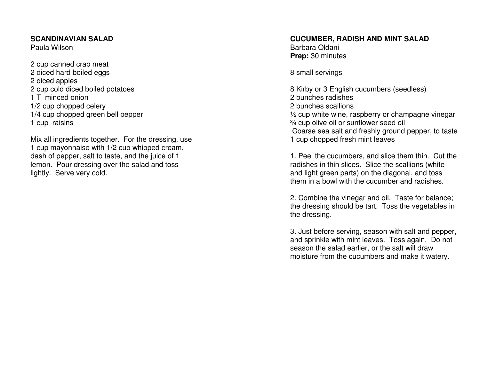#### **SCANDINAVIAN SALAD**

Paula Wilson

2 cup canned crab meat 2 diced hard boiled eggs2 diced apples 2 cup cold diced boiled potatoes1 T minced onion 1/2 cup chopped celery 1/4 cup chopped green bell pepper1 cup raisins

Mix all ingredients together. For the dressing, use 1 cup mayonnaise with 1/2 cup whipped cream, dash of pepper, salt to taste, and the juice of 1 lemon. Pour dressing over the salad and toss lightly. Serve very cold.

# **CUCUMBER, RADISH AND MINT SALAD**

Barbara Oldani **Prep:** 30 minutes

8 small servings

8 Kirby or 3 English cucumbers (seedless) 2 bunches radishes 2 bunches scallions ½ cup white wine, raspberry or champagne vinegar ¾ cup olive oil or sunflower seed oil Coarse sea salt and freshly ground pepper, to taste 1 cup chopped fresh mint leaves

1. Peel the cucumbers, and slice them thin. Cut the radishes in thin slices. Slice the scallions (white and light green parts) on the diagonal, and toss them in a bowl with the cucumber and radishes.

2. Combine the vinegar and oil. Taste for balance; the dressing should be tart. Toss the vegetables in the dressing.

3. Just before serving, season with salt and pepper, and sprinkle with mint leaves. Toss again. Do notseason the salad earlier, or the salt will draw moisture from the cucumbers and make it watery.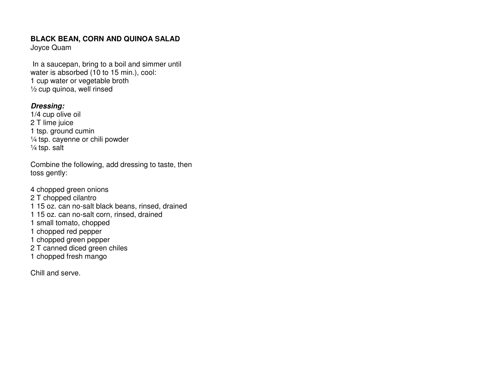#### **BLACK BEAN, CORN AND QUINOA SALAD**

Joyce Quam

 In a saucepan, bring to a boil and simmer until water is absorbed (10 to 15 min.), cool: 1 cup water or vegetable broth ½ cup quinoa, well rinsed

#### **Dressing:**

 1/4 cup olive oil 2 T lime juice 1 tsp. ground cumin ¼ tsp. cayenne or chili powder ¼ tsp. salt

Combine the following, add dressing to taste, then toss gently:

4 chopped green onions 2 T chopped cilantro 1 15 oz. can no-salt black beans, rinsed, drained 1 15 oz. can no-salt corn, rinsed, drained 1 small tomato, chopped 1 chopped red pepper 1 chopped green pepper 2 T canned diced green chiles 1 chopped fresh mango

Chill and serve.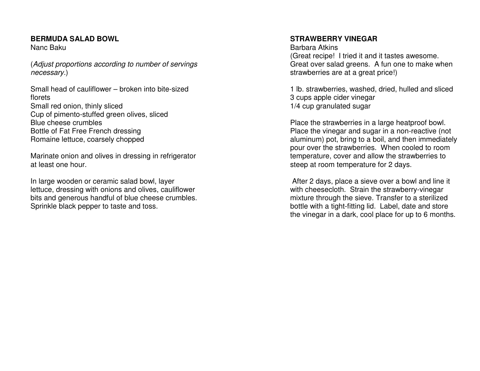#### **BERMUDA SALAD BOWL**

Nanc Baku

(Adjust proportions according to number of servings necessary.)

Small head of cauliflower – broken into bite-sized florets Small red onion, thinly sliced Cup of pimento-stuffed green olives, sliced Blue cheese crumbles Bottle of Fat Free French dressing Romaine lettuce, coarsely chopped

Marinate onion and olives in dressing in refrigerator at least one hour.

In large wooden or ceramic salad bowl, layer lettuce, dressing with onions and olives, cauliflower bits and generous handful of blue cheese crumbles. Sprinkle black pepper to taste and toss.

#### **STRAWBERRY VINEGAR**

Barbara Atkins (Great recipe! I tried it and it tastes awesome. Great over salad greens. A fun one to make when strawberries are at a great price!)

1 lb. strawberries, washed, dried, hulled and sliced 3 cups apple cider vinegar 1/4 cup granulated sugar

Place the strawberries in a large heatproof bowl. Place the vinegar and sugar in a non-reactive (not aluminum) pot, bring to a boil, and then immediately pour over the strawberries. When cooled to room temperature, cover and allow the strawberries to steep at room temperature for 2 days.

 After 2 days, place a sieve over a bowl and line it with cheesecloth. Strain the strawberry-vinegar mixture through the sieve. Transfer to a sterilized bottle with a tight-fitting lid. Label, date and store the vinegar in a dark, cool place for up to 6 months.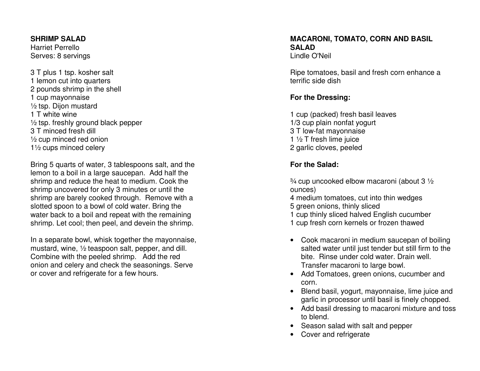#### **SHRIMP SALAD**

Harriet Perrello Serves: 8 servings

3 T plus 1 tsp. kosher salt 1 lemon cut into quarters 2 pounds shrimp in the shell 1 cup mayonnaise ½ tsp. Dijon mustard 1 T white wine ½ tsp. freshly ground black pepper 3 T minced fresh dill ½ cup minced red onion 1½ cups minced celery

Bring 5 quarts of water, 3 tablespoons salt, and the lemon to a boil in a large saucepan. Add half the shrimp and reduce the heat to medium. Cook the shrimp uncovered for only 3 minutes or until the shrimp are barely cooked through. Remove with a slotted spoon to a bowl of cold water. Bring the water back to a boil and repeat with the remaining shrimp. Let cool; then peel, and devein the shrimp.

In a separate bowl, whisk together the mayonnaise, mustard, wine, ½ teaspoon salt, pepper, and dill. Combine with the peeled shrimp. Add the red onion and celery and check the seasonings. Serve or cover and refrigerate for a few hours.

#### **MACARONI, TOMATO, CORN AND BASIL SALAD** Lindle O'Neil

Ripe tomatoes, basil and fresh corn enhance a terrific side dish

### **For the Dressing:**

1 cup (packed) fresh basil leaves 1/3 cup plain nonfat yogurt 3 T low-fat mayonnaise 1 ½ T fresh lime juice 2 garlic cloves, peeled

### **For the Salad:**

¾ cup uncooked elbow macaroni (about 3 ½ ounces) 4 medium tomatoes, cut into thin wedges 5 green onions, thinly sliced 1 cup thinly sliced halved English cucumber 1 cup fresh corn kernels or frozen thawed

- Cook macaroni in medium saucepan of boiling salted water until just tender but still firm to the bite. Rinse under cold water. Drain well. Transfer macaroni to large bowl.
- Add Tomatoes, green onions, cucumber and corn.
- Blend basil, yogurt, mayonnaise, lime juice and garlic in processor until basil is finely chopped.
- Add basil dressing to macaroni mixture and toss to blend.
- Season salad with salt and pepper
- Cover and refrigerate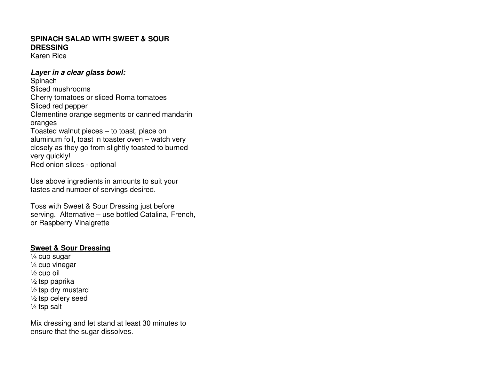### **SPINACH SALAD WITH SWEET & SOUR DRESSING**

Karen Rice

#### **Layer in a clear glass bowl:**

**Spinach**  Sliced mushrooms Cherry tomatoes or sliced Roma tomatoes Sliced red pepper Clementine orange segments or canned mandarin oranges Toasted walnut pieces – to toast, place on aluminum foil, toast in toaster oven – watch very closely as they go from slightly toasted to burned very quickly! Red onion slices - optional

Use above ingredients in amounts to suit your tastes and number of servings desired.

Toss with Sweet & Sour Dressing just before serving. Alternative – use bottled Catalina, French, or Raspberry Vinaigrette

#### **Sweet & Sour Dressing**

¼ cup sugar ¼ cup vinegar  $\frac{1}{2}$  cup oil ½ tsp paprika ½ tsp dry mustard ½ tsp celery seed ¼ tsp salt

Mix dressing and let stand at least 30 minutes to ensure that the sugar dissolves.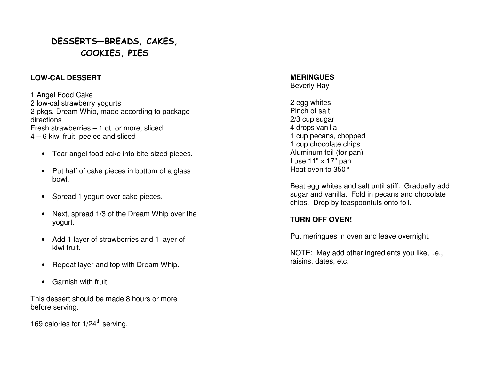## DESSERTS—BREADS, CAKES, COOKIES, PIES

#### **LOW-CAL DESSERT**

1 Angel Food Cake 2 low-cal strawberry yogurts 2 pkgs. Dream Whip, made according to package directions Fresh strawberries – 1 qt. or more, sliced 4 – 6 kiwi fruit, peeled and sliced

- Tear angel food cake into bite-sized pieces.
- Put half of cake pieces in bottom of a glass bowl.
- Spread 1 yogurt over cake pieces.
- Next, spread 1/3 of the Dream Whip over the yogurt.
- Add 1 layer of strawberries and 1 layer of kiwi fruit.
- Repeat layer and top with Dream Whip.
- Garnish with fruit.

This dessert should be made 8 hours or more before serving.

169 calories for  $1/24^{\text{th}}$  serving.

#### **MERINGUES** Beverly Ray

2 egg whites Pinch of salt 2/3 cup sugar 4 drops vanilla 1 cup pecans, chopped 1 cup chocolate chips Aluminum foil (for pan) I use 11" x 17" pan Heat oven to 350°

Beat egg whites and salt until stiff. Gradually add sugar and vanilla. Fold in pecans and chocolate chips. Drop by teaspoonfuls onto foil.

### **TURN OFF OVEN!**

Put meringues in oven and leave overnight.

NOTE: May add other ingredients you like, i.e., raisins, dates, etc.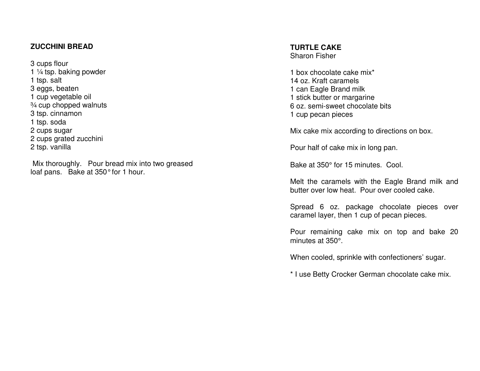#### **ZUCCHINI BREAD**

3 cups flour 1  $\frac{1}{4}$  tsp. baking powder 1 tsp. salt 3 eggs, beaten 1 cup vegetable oil ¾ cup chopped walnuts 3 tsp. cinnamon 1 tsp. soda 2 cups sugar 2 cups grated zucchini 2 tsp. vanilla

 Mix thoroughly. Pour bread mix into two greased loaf pans. Bake at 350° for 1 hour.

## **TURTLE CAKE**

Sharon Fisher

1 box chocolate cake mix\* 14 oz. Kraft caramels 1 can Eagle Brand milk 1 stick butter or margarine 6 oz. semi-sweet chocolate bits 1 cup pecan pieces

Mix cake mix according to directions on box.

Pour half of cake mix in long pan.

Bake at 350° for 15 minutes. Cool.

Melt the caramels with the Eagle Brand milk and butter over low heat. Pour over cooled cake.

Spread 6 oz. package chocolate pieces over caramel layer, then 1 cup of pecan pieces.

Pour remaining cake mix on top and bake 20 minutes at 350°.

When cooled, sprinkle with confectioners' sugar.

\* I use Betty Crocker German chocolate cake mix.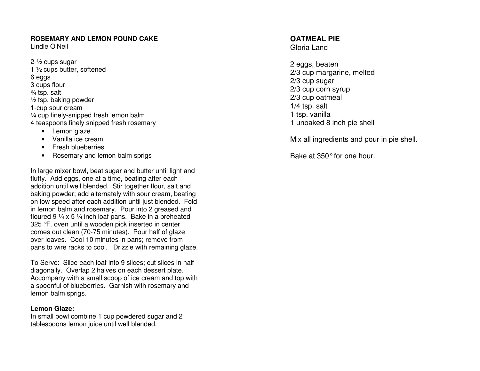#### **ROSEMARY AND LEMON POUND CAKE**

Lindle O'Neil

- 2-½ cups sugar 1 ½ cups butter, softened 6 eggs 3 cups flour ¾ tsp. salt ½ tsp. baking powder 1-cup sour cream ¼ cup finely-snipped fresh lemon balm 4 teaspoons finely snipped fresh rosemary
	- Lemon glaze
	- Vanilla ice cream
	- Fresh blueberries
	- Rosemary and lemon balm sprigs

In large mixer bowl, beat sugar and butter until light and fluffy. Add eggs, one at a time, beating after each addition until well blended. Stir together flour, salt and baking powder; add alternately with sour cream, beating on low speed after each addition until just blended. Fold in lemon balm and rosemary. Pour into 2 greased and floured 9  $\frac{1}{4}$  x 5  $\frac{1}{4}$  inch loaf pans. Bake in a preheated 325 °F. oven until a wooden pick inserted in center comes out clean (70-75 minutes). Pour half of glaze over loaves. Cool 10 minutes in pans; remove from pans to wire racks to cool. Drizzle with remaining glaze.

To Serve: Slice each loaf into 9 slices; cut slices in half diagonally. Overlap 2 halves on each dessert plate. Accompany with a small scoop of ice cream and top with a spoonful of blueberries. Garnish with rosemary and lemon balm sprigs.

#### **Lemon Glaze:**

 In small bowl combine 1 cup powdered sugar and 2 tablespoons lemon juice until well blended.

### **OATMEAL PIE**

Gloria Land

2 eggs, beaten 2/3 cup margarine, melted 2/3 cup sugar 2/3 cup corn syrup 2/3 cup oatmeal 1/4 tsp. salt 1 tsp. vanilla 1 unbaked 8 inch pie shell

Mix all ingredients and pour in pie shell.

Bake at 350° for one hour.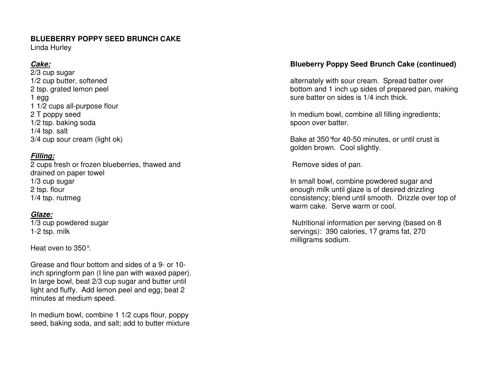### **BLUEBERRY POPPY SEED BRUNCH CAKE**

Linda Hurley

### **Cake:**

 2/3 cup sugar 1/2 cup butter, softened 2 tsp. grated lemon peel 1 egg 1 1/2 cups all-purpose flour 2 T poppy seed 1/2 tsp. baking soda 1/4 tsp. salt 3/4 cup sour cream (light ok)

### **Filling:**

 2 cups fresh or frozen blueberries, thawed and drained on paper towel 1/3 cup sugar 2 tsp. flour 1/4 tsp. nutmeg

### **Glaze:**

 1/3 cup powdered sugar 1-2 tsp. milk

Heat oven to 350°.

Grease and flour bottom and sides of a 9- or 10 inch springform pan (I line pan with waxed paper). In large bowl, beat 2/3 cup sugar and butter until light and fluffy. Add lemon peel and egg; beat 2 minutes at medium speed.

In medium bowl, combine 1 1/2 cups flour, poppy seed, baking soda, and salt; add to butter mixture

### **Blueberry Poppy Seed Brunch Cake (continued)**

alternately with sour cream. Spread batter over bottom and 1 inch up sides of prepared pan, making sure batter on sides is 1/4 inch thick.

In medium bowl, combine all filling ingredients; spoon over batter.

Bake at 350°for 40-50 minutes, or until crust is golden brown. Cool slightly.

Remove sides of pan.

In small bowl, combine powdered sugar and enough milk until glaze is of desired drizzling consistency; blend until smooth. Drizzle over top of warm cake. Serve warm or cool.

 Nutritional information per serving (based on 8 servings): 390 calories, 17 grams fat, 270 milligrams sodium.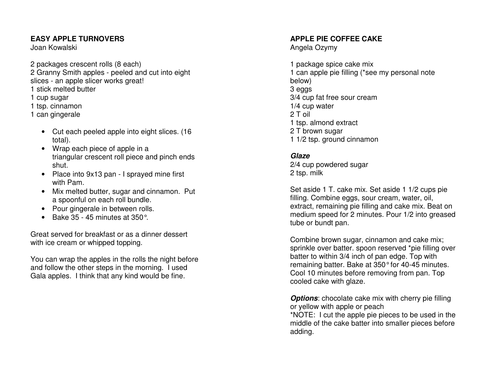### **EASY APPLE TURNOVERS**

Joan Kowalski

2 packages crescent rolls (8 each) 2 Granny Smith apples - peeled and cut into eight slices - an apple slicer works great! 1 stick melted butter 1 cup sugar 1 tsp. cinnamon 1 can gingerale

- Cut each peeled apple into eight slices. (16 total).
- Wrap each piece of apple in a triangular crescent roll piece and pinch ends shut.
- Place into 9x13 pan I sprayed mine first with Pam.
- Mix melted butter, sugar and cinnamon. Put a spoonful on each roll bundle.
- Pour gingerale in between rolls.
- Bake  $35 45$  minutes at  $350^\circ$ .

Great served for breakfast or as a dinner dessert with ice cream or whipped topping.

You can wrap the apples in the rolls the night before and follow the other steps in the morning. I used Gala apples. I think that any kind would be fine.

### **APPLE PIE COFFEE CAKE**

Angela Ozymy

1 package spice cake mix 1 can apple pie filling (\*see my personal note below) 3 eggs 3/4 cup fat free sour cream 1/4 cup water 2 T oil 1 tsp. almond extract 2 T brown sugar 1 1/2 tsp. ground cinnamon

#### **Glaze**

 2/4 cup powdered sugar 2 tsp. milk

Set aside 1 T. cake mix. Set aside 1 1/2 cups pie filling. Combine eggs, sour cream, water, oil, extract, remaining pie filling and cake mix. Beat on medium speed for 2 minutes. Pour 1/2 into greased tube or bundt pan.

Combine brown sugar, cinnamon and cake mix; sprinkle over batter. spoon reserved \*pie filling over batter to within 3/4 inch of pan edge. Top with remaining batter. Bake at 350° for 40-45 minutes. Cool 10 minutes before removing from pan. Top cooled cake with glaze.

**Options:** chocolate cake mix with cherry pie filling or yellow with apple or peach

 \*NOTE: I cut the apple pie pieces to be used in the middle of the cake batter into smaller pieces before adding.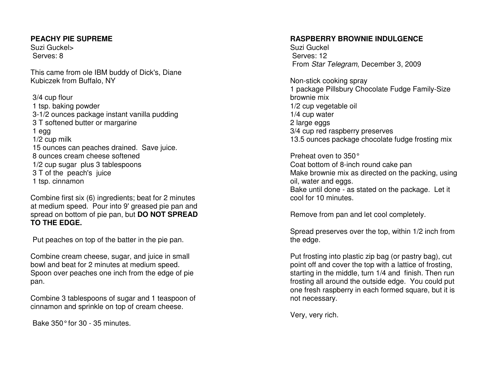#### **PEACHY PIE SUPREME**

Suzi Guckel> Serves: 8

This came from ole IBM buddy of Dick's, Diane Kubiczek from Buffalo, NY

 3/4 cup flour 1 tsp. baking powder 3-1/2 ounces package instant vanilla pudding 3 T softened butter or margarine 1 egg 1/2 cup milk 15 ounces can peaches drained. Save juice. 8 ounces cream cheese softened 1/2 cup sugar plus 3 tablespoons 3 T of the peach's juice 1 tsp. cinnamon

Combine first six (6) ingredients; beat for 2 minutes at medium speed. Pour into 9' greased pie pan and spread on bottom of pie pan, but **DO NOT SPREAD TO THE EDGE.** 

Put peaches on top of the batter in the pie pan.

Combine cream cheese, sugar, and juice in small bowl and beat for 2 minutes at medium speed. Spoon over peaches one inch from the edge of pie pan.

Combine 3 tablespoons of sugar and 1 teaspoon of cinnamon and sprinkle on top of cream cheese.

Bake 350° for 30 - 35 minutes.

#### **RASPBERRY BROWNIE INDULGENCE**

Suzi Guckel Serves: 12 From Star Telegram, December 3, 2009

Non-stick cooking spray 1 package Pillsbury Chocolate Fudge Family-Size brownie mix 1/2 cup vegetable oil 1/4 cup water 2 large eggs 3/4 cup red raspberry preserves 13.5 ounces package chocolate fudge frosting mix

Preheat oven to 350° Coat bottom of 8-inch round cake pan Make brownie mix as directed on the packing, using oil, water and eggs. Bake until done - as stated on the package. Let itcool for 10 minutes.

Remove from pan and let cool completely.

Spread preserves over the top, within 1/2 inch fromthe edge.

Put frosting into plastic zip bag (or pastry bag), cut point off and cover the top with a lattice of frosting, starting in the middle, turn 1/4 and finish. Then run frosting all around the outside edge. You could put one fresh raspberry in each formed square, but it is not necessary.

Very, very rich.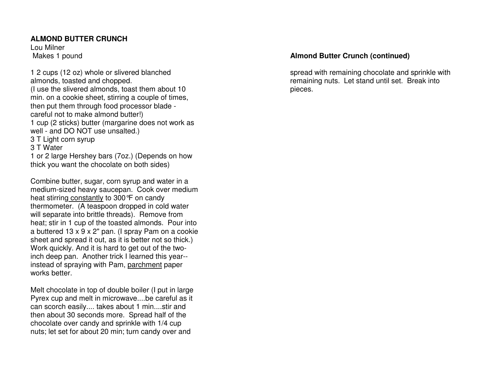#### **ALMOND BUTTER CRUNCH**

Lou MilnerMakes 1 pound

1 2 cups (12 oz) whole or slivered blanched almonds, toasted and chopped. (I use the slivered almonds, toast them about 10 min. on a cookie sheet, stirring a couple of times,then put them through food processor blade careful not to make almond butter!) 1 cup (2 sticks) butter (margarine does not work aswell - and DO NOT use unsalted.)3 T Light corn syrup3 T Water 1 or 2 large Hershey bars (7oz.) (Depends on how thick you want the chocolate on both sides)

Combine butter, sugar, corn syrup and water in a medium-sized heavy saucepan. Cook over medium heat stirring constantly to 300°F on candy thermometer. (A teaspoon dropped in cold water will separate into brittle threads). Remove from heat; stir in 1 cup of the toasted almonds. Pour into a buttered 13 x 9 x 2" pan. (I spray Pam on a cookie sheet and spread it out, as it is better not so thick.) Work quickly. And it is hard to get out of the twoinch deep pan. Another trick I learned this year-instead of spraying with Pam, parchment paper works better.

Melt chocolate in top of double boiler (I put in large Pyrex cup and melt in microwave....be careful as itcan scorch easily.... takes about 1 min....stir and then about 30 seconds more. Spread half of the chocolate over candy and sprinkle with 1/4 cup nuts; let set for about 20 min; turn candy over and

### **Almond Butter Crunch (continued)**

spread with remaining chocolate and sprinkle with remaining nuts. Let stand until set. Break into pieces.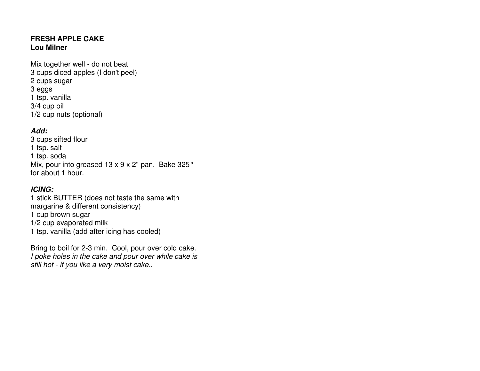#### **FRESH APPLE CAKE Lou Milner**

Mix together well - do not beat 3 cups diced apples (I don't peel)2 cups sugar3 eggs 1 tsp. vanilla3/4 cup oil1/2 cup nuts (optional)

### **Add:**

 3 cups sifted flour1 tsp. salt 1 tsp. soda Mix, pour into greased 13 x 9 x 2" pan. Bake 325° for about 1 hour.

### **ICING:**

 1 stick BUTTER (does not taste the same with margarine & different consistency)1 cup brown sugar 1/2 cup evaporated milk1 tsp. vanilla (add after icing has cooled)

Bring to boil for 2-3 min. Cool, pour over cold cake.I poke holes in the cake and pour over while cake is still hot - if you like a very moist cake..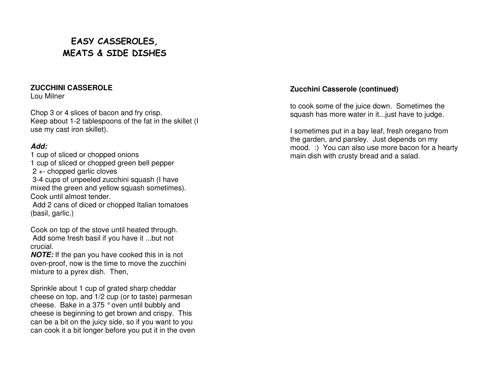# EASY CASSEROLES, MEATS & SIDE DISHES

#### **ZUCCHINI CASSEROLE**

Lou Milner

Chop 3 or 4 slices of bacon and fry crisp. Keep about 1-2 tablespoons of the fat in the skillet (I use my cast iron skillet).

### **Add:**

 1 cup of sliced or chopped onions 1 cup of sliced or chopped green bell pepper 2 +- chopped garlic cloves 3-4 cups of unpeeled zucchini squash (I have mixed the green and yellow squash sometimes). Cook until almost tender.

 Add 2 cans of diced or chopped Italian tomatoes (basil, garlic.)

Cook on top of the stove until heated through. Add some fresh basil if you have it ...but not crucial.

 **NOTE:** If the pan you have cooked this in is not oven-proof, now is the time to move the zucchini mixture to a pyrex dish. Then,

Sprinkle about 1 cup of grated sharp cheddar cheese on top, and 1/2 cup (or to taste) parmesan cheese. Bake in a 375 ° oven until bubbly and cheese is beginning to get brown and crispy. This can be a bit on the juicy side, so if you want to you can cook it a bit longer before you put it in the oven

### **Zucchini Casserole (continued)**

to cook some of the juice down. Sometimes the squash has more water in it...just have to judge.

I sometimes put in a bay leaf, fresh oregano from the garden, and parsley. Just depends on my mood. :) You can also use more bacon for a heartymain dish with crusty bread and a salad.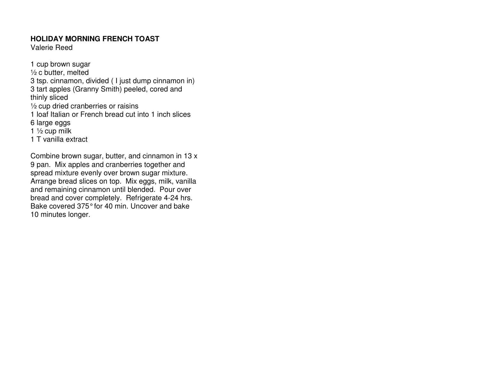#### **HOLIDAY MORNING FRENCH TOAST**

Valerie Reed

1 cup brown sugar ½ c butter, melted 3 tsp. cinnamon, divided ( I just dump cinnamon in)3 tart apples (Granny Smith) peeled, cored and thinly sliced ½ cup dried cranberries or raisins 1 loaf Italian or French bread cut into 1 inch slices6 large eggs 1 ½ cup milk1 T vanilla extract

Combine brown sugar, butter, and cinnamon in 13 x 9 pan. Mix apples and cranberries together and spread mixture evenly over brown sugar mixture. Arrange bread slices on top. Mix eggs, milk, vanilla and remaining cinnamon until blended. Pour over bread and cover completely. Refrigerate 4-24 hrs. Bake covered 375° for 40 min. Uncover and bake 10 minutes longer.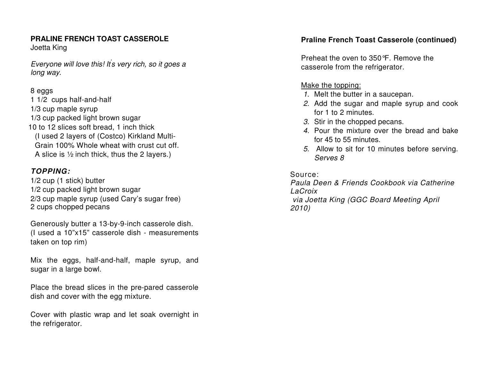## **PRALINE FRENCH TOAST CASSEROLE**

Joetta King

Everyone will love this! It' s very rich, so it goes a long way.

### 8 eggs

 1 1/2 cups half-and-half 1/3 cup maple syrup 1/3 cup packed light brown sugar 10 to 12 slices soft bread, 1 inch thick (I used 2 layers of (Costco) Kirkland Multi-Grain 100% Whole wheat with crust cut off. A slice is ½ inch thick, thus the 2 layers.)

### **TOPPING:**

1/2 cup (1 stick) butter 1/2 cup packed light brown sugar 2/3 cup maple syrup (used Cary's sugar free) 2 cups chopped pecans

Generously butter a 13-by-9-inch casserole dish. (I used a 10"x15" casserole dish - measurements taken on top rim)

Mix the eggs, half-and-half, maple syrup, and sugar in a large bowl.

Place the bread slices in the pre-pared casserole dish and cover with the egg mixture.

Cover with plastic wrap and let soak overnight in the refrigerator.

### **Praline French Toast Casserole (continued)**

Preheat the oven to 350°F. Remove the casserole from the refrigerator.

### Make the topping:

- 1. Melt the butter in a saucepan.
- 2. Add the sugar and maple syrup and cook for 1 to 2 minutes.
- 3. Stir in the chopped pecans.
- 4. Pour the mixture over the bread and bake for 45 to 55 minutes.
- 5. Allow to sit for 10 minutes before serving. Serves 8

Source:

 Paula Deen & Friends Cookbook via Catherine LaCroix via Joetta King (GGC Board Meeting April 2010)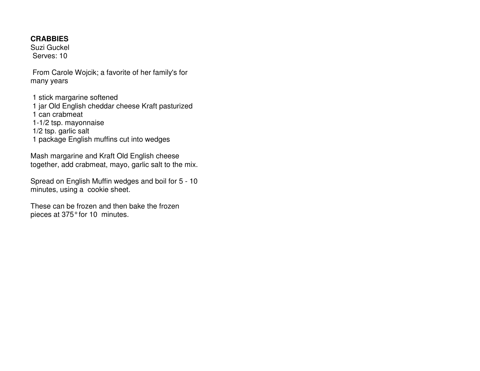#### **CRABBIES**

 Suzi Guckel Serves: 10

 From Carole Wojcik; a favorite of her family's formany years

 1 stick margarine softened 1 jar Old English cheddar cheese Kraft pasturized 1 can crabmeat 1-1/2 tsp. mayonnaise 1/2 tsp. garlic salt 1 package English muffins cut into wedges

Mash margarine and Kraft Old English cheese together, add crabmeat, mayo, garlic salt to the mix.

Spread on English Muffin wedges and boil for 5 - 10minutes, using a cookie sheet.

These can be frozen and then bake the frozen pieces at 375° for 10 minutes.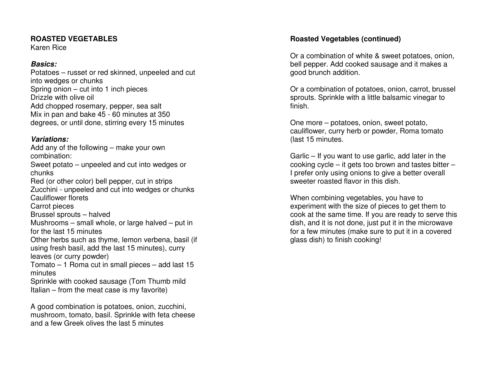#### **ROASTED VEGETABLES**

Karen Rice

### **Basics:**

 Potatoes – russet or red skinned, unpeeled and cut into wedges or chunks Spring onion – cut into 1 inch pieces Drizzle with olive oil Add chopped rosemary, pepper, sea salt Mix in pan and bake 45 - 60 minutes at 350 degrees, or until done, stirring every 15 minutes

### **Variations:**

 Add any of the following – make your own combination: Sweet potato – unpeeled and cut into wedges or chunks Red (or other color) bell pepper, cut in strips Zucchini - unpeeled and cut into wedges or chunks Cauliflower florets Carrot pieces Brussel sprouts – halved Mushrooms – small whole, or large halved – put in for the last 15 minutes Other herbs such as thyme, lemon verbena, basil (ifusing fresh basil, add the last 15 minutes), curry leaves (or curry powder) Tomato – 1 Roma cut in small pieces – add last 15 minutes Sprinkle with cooked sausage (Tom Thumb mild Italian – from the meat case is my favorite)

A good combination is potatoes, onion, zucchini, mushroom, tomato, basil. Sprinkle with feta cheese and a few Greek olives the last 5 minutes

### **Roasted Vegetables (continued)**

Or a combination of white & sweet potatoes, onion, bell pepper. Add cooked sausage and it makes a good brunch addition.

Or a combination of potatoes, onion, carrot, brussel sprouts. Sprinkle with a little balsamic vinegar tofinish.

One more – potatoes, onion, sweet potato, cauliflower, curry herb or powder, Roma tomato (last 15 minutes.

Garlic – If you want to use garlic, add later in the cooking cycle – it gets too brown and tastes bitter – I prefer only using onions to give a better overallsweeter roasted flavor in this dish.

When combining vegetables, you have to experiment with the size of pieces to get them to cook at the same time. If you are ready to serve this dish, and it is not done, just put it in the microwave for a few minutes (make sure to put it in a coveredglass dish) to finish cooking!